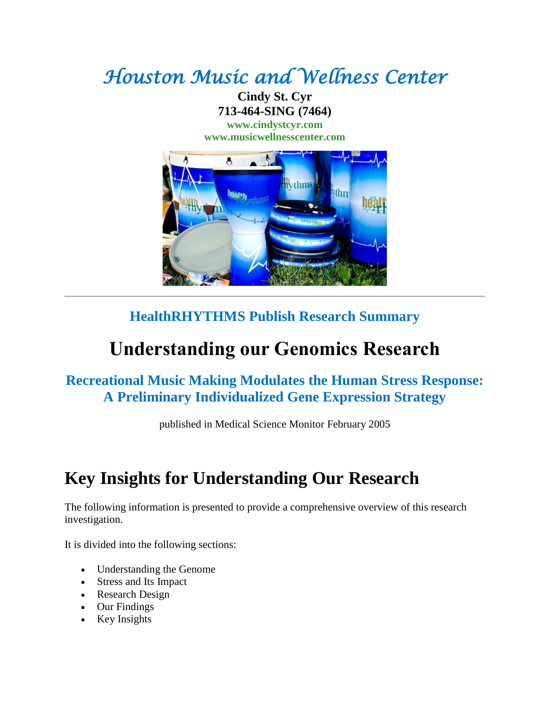# *Houston Music and Wellness Center*

**Cindy St. Cyr 713-464-SING (7464) [www.cindystcyr.com](http://www.cindystcyr.com/)**

**[www.musicwellnesscenter.com](http://www.musicwellnesscenter.com/)**



#### **HealthRHYTHMS Publish Research Summary**

# **Understanding our Genomics Research**

#### **Recreational Music Making Modulates the Human Stress Response: A Preliminary Individualized Gene Expression Strategy**

published in Medical Science Monitor February 2005

#### **Key Insights for Understanding Our Research**

The following information is presented to provide a comprehensive overview of this research investigation.

It is divided into the following sections:

- Understanding the Genome
- Stress and Its Impact
- Research Design
- Our Findings
- Key Insights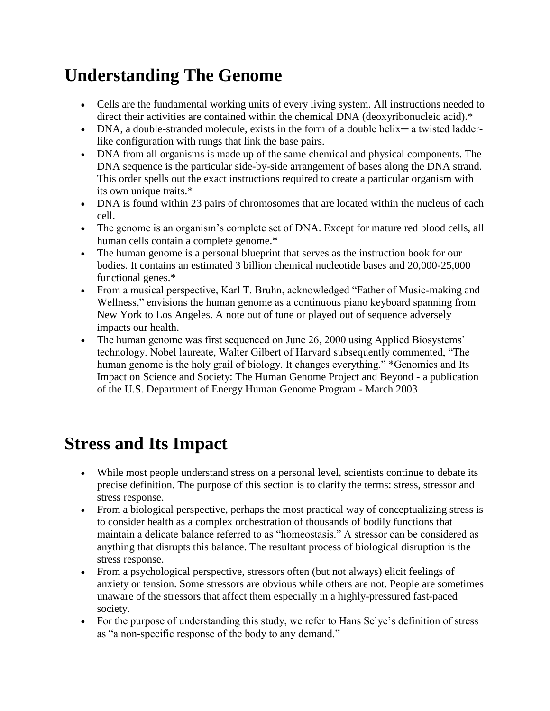# **Understanding The Genome**

- Cells are the fundamental working units of every living system. All instructions needed to direct their activities are contained within the chemical DNA (deoxyribonucleic acid).\*
- DNA, a double-stranded molecule, exists in the form of a double helix— a twisted ladderlike configuration with rungs that link the base pairs.
- DNA from all organisms is made up of the same chemical and physical components. The DNA sequence is the particular side-by-side arrangement of bases along the DNA strand. This order spells out the exact instructions required to create a particular organism with its own unique traits.\*
- DNA is found within 23 pairs of chromosomes that are located within the nucleus of each cell.
- The genome is an organism's complete set of DNA. Except for mature red blood cells, all human cells contain a complete genome.\*
- The human genome is a personal blueprint that serves as the instruction book for our bodies. It contains an estimated 3 billion chemical nucleotide bases and 20,000-25,000 functional genes.\*
- From a musical perspective, Karl T. Bruhn, acknowledged "Father of Music-making and Wellness," envisions the human genome as a continuous piano keyboard spanning from New York to Los Angeles. A note out of tune or played out of sequence adversely impacts our health.
- The human genome was first sequenced on June 26, 2000 using Applied Biosystems' technology. Nobel laureate, Walter Gilbert of Harvard subsequently commented, "The human genome is the holy grail of biology. It changes everything." \*Genomics and Its Impact on Science and Society: The Human Genome Project and Beyond - a publication of the U.S. Department of Energy Human Genome Program - March 2003

## **Stress and Its Impact**

- While most people understand stress on a personal level, scientists continue to debate its precise definition. The purpose of this section is to clarify the terms: stress, stressor and stress response.
- From a biological perspective, perhaps the most practical way of conceptualizing stress is to consider health as a complex orchestration of thousands of bodily functions that maintain a delicate balance referred to as "homeostasis." A stressor can be considered as anything that disrupts this balance. The resultant process of biological disruption is the stress response.
- From a psychological perspective, stressors often (but not always) elicit feelings of anxiety or tension. Some stressors are obvious while others are not. People are sometimes unaware of the stressors that affect them especially in a highly-pressured fast-paced society.
- For the purpose of understanding this study, we refer to Hans Selye's definition of stress as "a non-specific response of the body to any demand."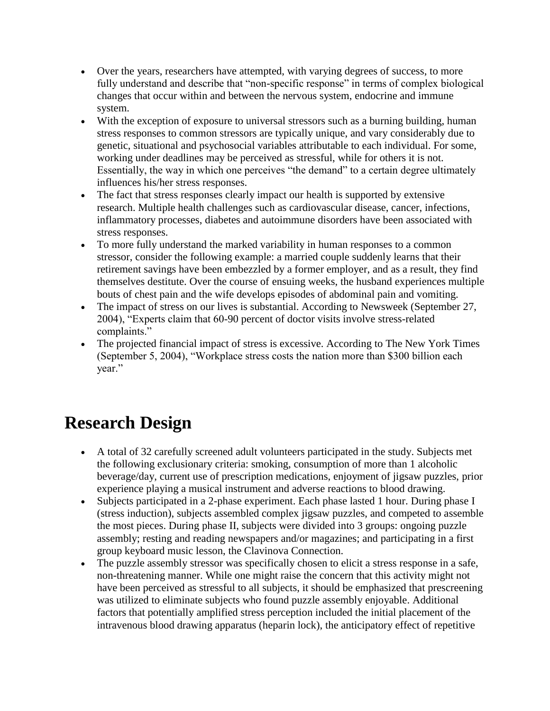- Over the years, researchers have attempted, with varying degrees of success, to more fully understand and describe that "non-specific response" in terms of complex biological changes that occur within and between the nervous system, endocrine and immune system.
- With the exception of exposure to universal stressors such as a burning building, human stress responses to common stressors are typically unique, and vary considerably due to genetic, situational and psychosocial variables attributable to each individual. For some, working under deadlines may be perceived as stressful, while for others it is not. Essentially, the way in which one perceives "the demand" to a certain degree ultimately influences his/her stress responses.
- The fact that stress responses clearly impact our health is supported by extensive research. Multiple health challenges such as cardiovascular disease, cancer, infections, inflammatory processes, diabetes and autoimmune disorders have been associated with stress responses.
- To more fully understand the marked variability in human responses to a common stressor, consider the following example: a married couple suddenly learns that their retirement savings have been embezzled by a former employer, and as a result, they find themselves destitute. Over the course of ensuing weeks, the husband experiences multiple bouts of chest pain and the wife develops episodes of abdominal pain and vomiting.
- The impact of stress on our lives is substantial. According to Newsweek (September 27, 2004), "Experts claim that 60-90 percent of doctor visits involve stress-related complaints."
- The projected financial impact of stress is excessive. According to The New York Times (September 5, 2004), "Workplace stress costs the nation more than \$300 billion each year."

## **Research Design**

- A total of 32 carefully screened adult volunteers participated in the study. Subjects met the following exclusionary criteria: smoking, consumption of more than 1 alcoholic beverage/day, current use of prescription medications, enjoyment of jigsaw puzzles, prior experience playing a musical instrument and adverse reactions to blood drawing.
- Subjects participated in a 2-phase experiment. Each phase lasted 1 hour. During phase I (stress induction), subjects assembled complex jigsaw puzzles, and competed to assemble the most pieces. During phase II, subjects were divided into 3 groups: ongoing puzzle assembly; resting and reading newspapers and/or magazines; and participating in a first group keyboard music lesson, the Clavinova Connection.
- The puzzle assembly stressor was specifically chosen to elicit a stress response in a safe, non-threatening manner. While one might raise the concern that this activity might not have been perceived as stressful to all subjects, it should be emphasized that prescreening was utilized to eliminate subjects who found puzzle assembly enjoyable. Additional factors that potentially amplified stress perception included the initial placement of the intravenous blood drawing apparatus (heparin lock), the anticipatory effect of repetitive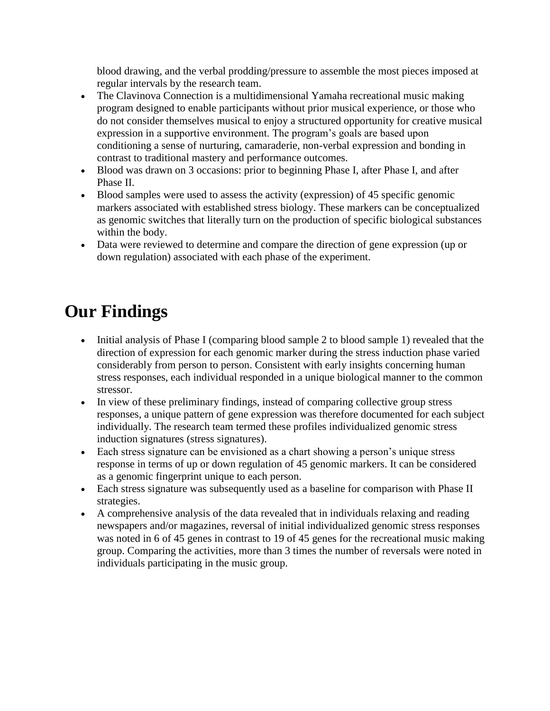blood drawing, and the verbal prodding/pressure to assemble the most pieces imposed at regular intervals by the research team.

- The Clavinova Connection is a multidimensional Yamaha recreational music making program designed to enable participants without prior musical experience, or those who do not consider themselves musical to enjoy a structured opportunity for creative musical expression in a supportive environment. The program's goals are based upon conditioning a sense of nurturing, camaraderie, non-verbal expression and bonding in contrast to traditional mastery and performance outcomes.
- Blood was drawn on 3 occasions: prior to beginning Phase I, after Phase I, and after Phase II.
- Blood samples were used to assess the activity (expression) of 45 specific genomic markers associated with established stress biology. These markers can be conceptualized as genomic switches that literally turn on the production of specific biological substances within the body.
- Data were reviewed to determine and compare the direction of gene expression (up or down regulation) associated with each phase of the experiment.

# **Our Findings**

- Initial analysis of Phase I (comparing blood sample 2 to blood sample 1) revealed that the direction of expression for each genomic marker during the stress induction phase varied considerably from person to person. Consistent with early insights concerning human stress responses, each individual responded in a unique biological manner to the common stressor.
- In view of these preliminary findings, instead of comparing collective group stress responses, a unique pattern of gene expression was therefore documented for each subject individually. The research team termed these profiles individualized genomic stress induction signatures (stress signatures).
- Each stress signature can be envisioned as a chart showing a person's unique stress response in terms of up or down regulation of 45 genomic markers. It can be considered as a genomic fingerprint unique to each person.
- Each stress signature was subsequently used as a baseline for comparison with Phase II strategies.
- A comprehensive analysis of the data revealed that in individuals relaxing and reading newspapers and/or magazines, reversal of initial individualized genomic stress responses was noted in 6 of 45 genes in contrast to 19 of 45 genes for the recreational music making group. Comparing the activities, more than 3 times the number of reversals were noted in individuals participating in the music group.